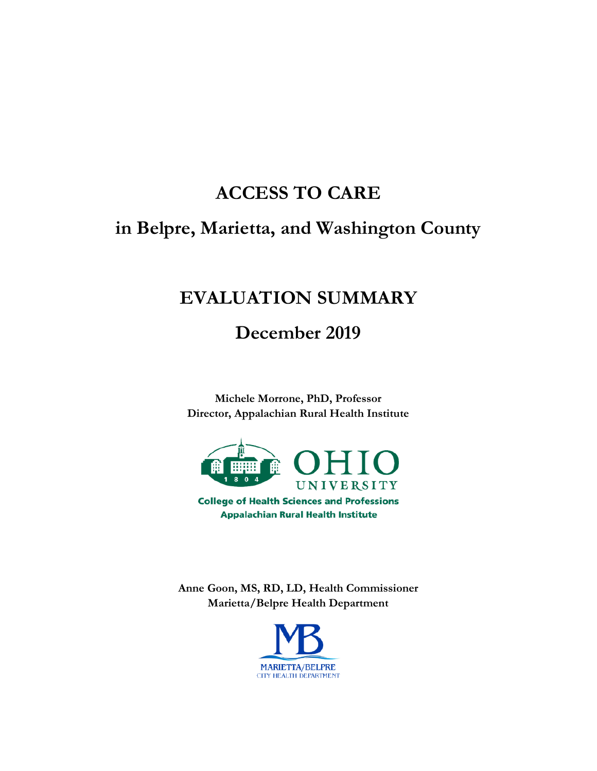# **ACCESS TO CARE**

# **in Belpre, Marietta, and Washington County**

# **EVALUATION SUMMARY**

**December 2019**

**Michele Morrone, PhD, Professor Director, Appalachian Rural Health Institute**



**College of Health Sciences and Professions Appalachian Rural Health Institute** 

**Anne Goon, MS, RD, LD, Health Commissioner Marietta/Belpre Health Department**

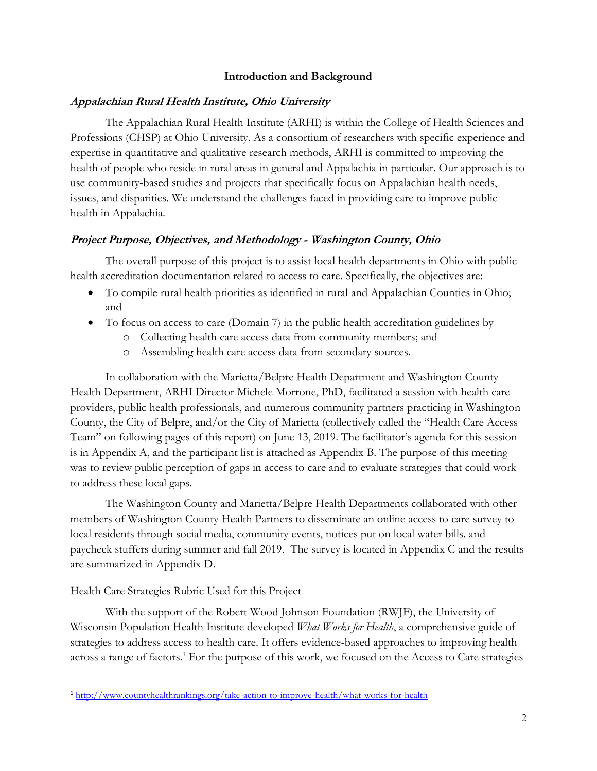#### **Introduction and Background**

#### **Appalachian Rural Health Institute, Ohio University**

The Appalachian Rural Health Institute (ARHI) is within the College of Health Sciences and Professions (CHSP) at Ohio University. As a consortium of researchers with specific experience and expertise in quantitative and qualitative research methods, ARHI is committed to improving the health of people who reside in rural areas in general and Appalachia in particular. Our approach is to use community-based studies and projects that specifically focus on Appalachian health needs, issues, and disparities. We understand the challenges faced in providing care to improve public health in Appalachia.

#### **Project Purpose, Objectives, and Methodology - Washington County, Ohio**

The overall purpose of this project is to assist local health departments in Ohio with public health accreditation documentation related to access to care. Specifically, the objectives are:

- To compile rural health priorities as identified in rural and Appalachian Counties in Ohio; and
- To focus on access to care (Domain 7) in the public health accreditation guidelines by
	- o Collecting health care access data from community members; and
	- o Assembling health care access data from secondary sources.

In collaboration with the Marietta/Belpre Health Department and Washington County Health Department, ARHI Director Michele Morrone, PhD, facilitated a session with health care providers, public health professionals, and numerous community partners practicing in Washington County, the City of Belpre, and/or the City of Marietta (collectively called the "Health Care Access Team" on following pages of this report) on June 13, 2019. The facilitator's agenda for this session is in Appendix A, and the participant list is attached as Appendix B. The purpose of this meeting was to review public perception of gaps in access to care and to evaluate strategies that could work to address these local gaps.

The Washington County and Marietta/Belpre Health Departments collaborated with other members of Washington County Health Partners to disseminate an online access to care survey to local residents through social media, community events, notices put on local water bills. and paycheck stuffers during summer and fall 2019. The survey is located in Appendix C and the results are summarized in Appendix D.

#### Health Care Strategies Rubric Used for this Project

 $\overline{\phantom{a}}$ 

With the support of the Robert Wood Johnson Foundation (RWJF), the University of Wisconsin Population Health Institute developed *What Works for Health*, a comprehensive guide of strategies to address access to health care. It offers evidence-based approaches to improving health across a range of factors.<sup>1</sup> For the purpose of this work, we focused on the Access to Care strategies

<sup>1</sup> <http://www.countyhealthrankings.org/take-action-to-improve-health/what-works-for-health>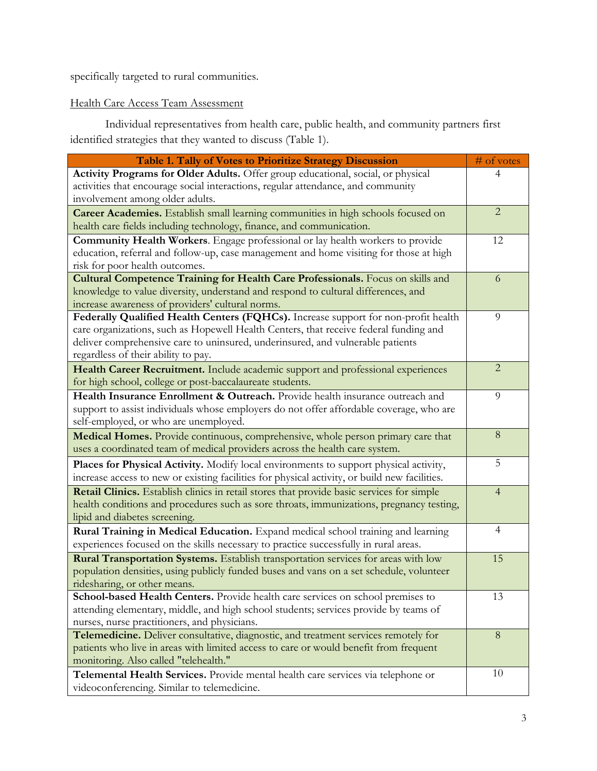specifically targeted to rural communities.

### Health Care Access Team Assessment

Individual representatives from health care, public health, and community partners first identified strategies that they wanted to discuss (Table 1).

| Table 1. Tally of Votes to Prioritize Strategy Discussion                                     | # of votes     |
|-----------------------------------------------------------------------------------------------|----------------|
| Activity Programs for Older Adults. Offer group educational, social, or physical              |                |
| activities that encourage social interactions, regular attendance, and community              |                |
| involvement among older adults.                                                               |                |
| <b>Career Academies.</b> Establish small learning communities in high schools focused on      | $\overline{2}$ |
| health care fields including technology, finance, and communication.                          |                |
| Community Health Workers. Engage professional or lay health workers to provide                | 12             |
| education, referral and follow-up, case management and home visiting for those at high        |                |
| risk for poor health outcomes.                                                                |                |
| Cultural Competence Training for Health Care Professionals. Focus on skills and               | 6              |
| knowledge to value diversity, understand and respond to cultural differences, and             |                |
| increase awareness of providers' cultural norms.                                              |                |
| Federally Qualified Health Centers (FQHCs). Increase support for non-profit health            | 9              |
| care organizations, such as Hopewell Health Centers, that receive federal funding and         |                |
| deliver comprehensive care to uninsured, underinsured, and vulnerable patients                |                |
| regardless of their ability to pay.                                                           |                |
| Health Career Recruitment. Include academic support and professional experiences              | $\overline{2}$ |
| for high school, college or post-baccalaureate students.                                      |                |
| Health Insurance Enrollment & Outreach. Provide health insurance outreach and                 | 9              |
| support to assist individuals whose employers do not offer affordable coverage, who are       |                |
| self-employed, or who are unemployed.                                                         |                |
| Medical Homes. Provide continuous, comprehensive, whole person primary care that              | 8              |
| uses a coordinated team of medical providers across the health care system.                   |                |
| Places for Physical Activity. Modify local environments to support physical activity,         | 5              |
| increase access to new or existing facilities for physical activity, or build new facilities. |                |
| Retail Clinics. Establish clinics in retail stores that provide basic services for simple     | 4              |
| health conditions and procedures such as sore throats, immunizations, pregnancy testing,      |                |
| lipid and diabetes screening.                                                                 |                |
| Rural Training in Medical Education. Expand medical school training and learning              | 4              |
| experiences focused on the skills necessary to practice successfully in rural areas.          |                |
| Rural Transportation Systems. Establish transportation services for areas with low            | 15             |
| population densities, using publicly funded buses and vans on a set schedule, volunteer       |                |
| ridesharing, or other means.                                                                  |                |
| School-based Health Centers. Provide health care services on school premises to               | 13             |
| attending elementary, middle, and high school students; services provide by teams of          |                |
| nurses, nurse practitioners, and physicians.                                                  |                |
| Telemedicine. Deliver consultative, diagnostic, and treatment services remotely for           | 8              |
| patients who live in areas with limited access to care or would benefit from frequent         |                |
| monitoring. Also called "telehealth."                                                         |                |
| Telemental Health Services. Provide mental health care services via telephone or              | 10             |
| videoconferencing. Similar to telemedicine.                                                   |                |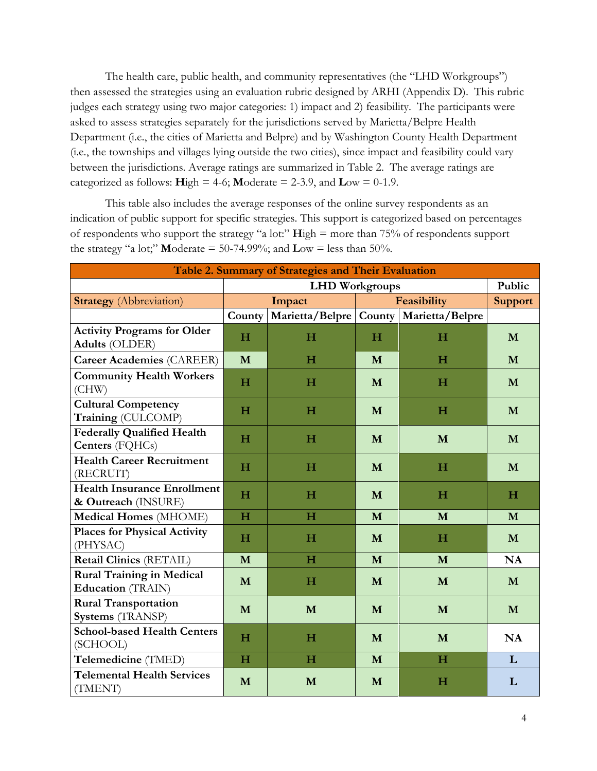The health care, public health, and community representatives (the "LHD Workgroups") then assessed the strategies using an evaluation rubric designed by ARHI (Appendix D). This rubric judges each strategy using two major categories: 1) impact and 2) feasibility. The participants were asked to assess strategies separately for the jurisdictions served by Marietta/Belpre Health Department (i.e., the cities of Marietta and Belpre) and by Washington County Health Department (i.e., the townships and villages lying outside the two cities), since impact and feasibility could vary between the jurisdictions. Average ratings are summarized in Table 2. The average ratings are categorized as follows:  $\text{High} = 4-6$ ;  $\text{Modern} = 2-3.9$ , and  $\text{Low} = 0-1.9$ .

This table also includes the average responses of the online survey respondents as an indication of public support for specific strategies. This support is categorized based on percentages of respondents who support the strategy "a lot:" **H**igh = more than 75% of respondents support the strategy "a lot;" **M**oderate = 50-74.99%; and  $\text{Low} = \text{less than } 50\%$ .

| Table 2. Summary of Strategies and Their Evaluation          |             |                       |                                            |             |           |  |
|--------------------------------------------------------------|-------------|-----------------------|--------------------------------------------|-------------|-----------|--|
|                                                              |             | <b>LHD</b> Workgroups |                                            |             |           |  |
| <b>Strategy</b> (Abbreviation)                               |             | Impact                |                                            | Feasibility |           |  |
|                                                              | County      |                       | Marietta/Belpre   County   Marietta/Belpre |             |           |  |
| <b>Activity Programs for Older</b><br><b>Adults (OLDER)</b>  | H           | $\mathbf H$           | H                                          | $\mathbf H$ | M         |  |
| <b>Career Academies (CAREER)</b>                             | M           | $\bf H$               | M                                          | $\mathbf H$ | M         |  |
| <b>Community Health Workers</b><br>(CHW)                     | $\mathbf H$ | H                     | M                                          | H           | M         |  |
| <b>Cultural Competency</b><br>Training (CULCOMP)             | H           | H                     | M                                          | $\mathbf H$ | M         |  |
| <b>Federally Qualified Health</b><br>Centers (FQHCs)         | $\mathbf H$ | H                     | M                                          | M           | M         |  |
| <b>Health Career Recruitment</b><br>(RECRUIT)                | H           | H                     | M                                          | H           | M         |  |
| <b>Health Insurance Enrollment</b><br>& Outreach (INSURE)    | H           | H                     | M                                          | H           | H         |  |
| <b>Medical Homes (MHOME)</b>                                 | H           | H                     | M                                          | M           | M         |  |
| <b>Places for Physical Activity</b><br>(PHYSAC)              | H           | H                     | M                                          | H           | M         |  |
| Retail Clinics (RETAIL)                                      | M           | $\mathbf H$           | M                                          | M           | NA        |  |
| <b>Rural Training in Medical</b><br><b>Education</b> (TRAIN) | M           | $\mathbf H$           | M                                          | M           | M         |  |
| <b>Rural Transportation</b><br>Systems (TRANSP)              | M           | M                     | M                                          | M           | M         |  |
| <b>School-based Health Centers</b><br>(SCHOOL)               | $\mathbf H$ | H                     | M                                          | M           | <b>NA</b> |  |
| Telemedicine (TMED)                                          | $\mathbf H$ | $\mathbf H$           | M                                          | H           | L         |  |
| <b>Telemental Health Services</b><br>(TMENT)                 | M           | M                     | M                                          | H           | L         |  |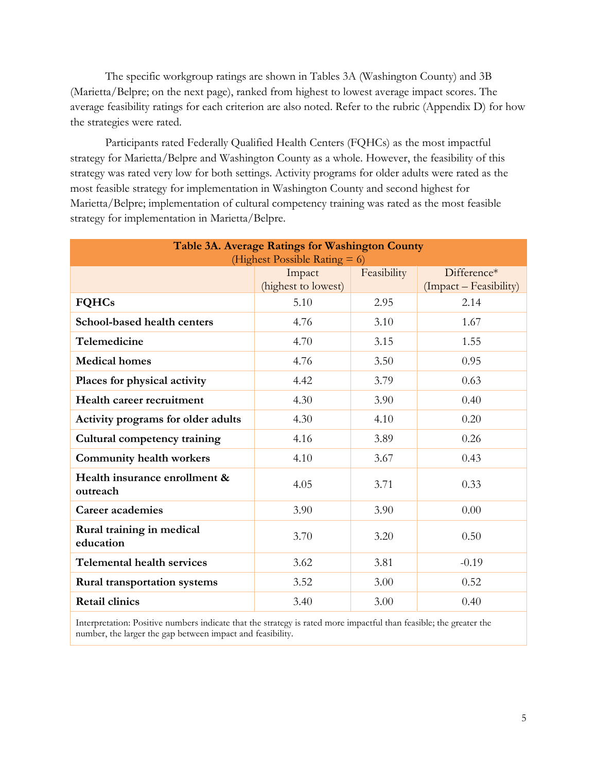The specific workgroup ratings are shown in Tables 3A (Washington County) and 3B (Marietta/Belpre; on the next page), ranked from highest to lowest average impact scores. The average feasibility ratings for each criterion are also noted. Refer to the rubric (Appendix D) for how the strategies were rated.

Participants rated Federally Qualified Health Centers (FQHCs) as the most impactful strategy for Marietta/Belpre and Washington County as a whole. However, the feasibility of this strategy was rated very low for both settings. Activity programs for older adults were rated as the most feasible strategy for implementation in Washington County and second highest for Marietta/Belpre; implementation of cultural competency training was rated as the most feasible strategy for implementation in Marietta/Belpre.

| Table 3A. Average Ratings for Washington County<br>(Highest Possible Rating $= 6$ ) |                               |             |                                       |  |  |
|-------------------------------------------------------------------------------------|-------------------------------|-------------|---------------------------------------|--|--|
|                                                                                     | Impact<br>(highest to lowest) | Feasibility | Difference*<br>(Impact – Feasibility) |  |  |
| <b>FQHCs</b>                                                                        | 5.10                          | 2.95        | 2.14                                  |  |  |
| School-based health centers                                                         | 4.76                          | 3.10        | 1.67                                  |  |  |
| Telemedicine                                                                        | 4.70                          | 3.15        | 1.55                                  |  |  |
| <b>Medical homes</b>                                                                | 4.76                          | 3.50        | 0.95                                  |  |  |
| Places for physical activity                                                        | 4.42                          | 3.79        | 0.63                                  |  |  |
| Health career recruitment                                                           | 4.30                          | 3.90        | 0.40                                  |  |  |
| Activity programs for older adults                                                  | 4.30                          | 4.10        | 0.20                                  |  |  |
| Cultural competency training                                                        | 4.16                          | 3.89        | 0.26                                  |  |  |
| <b>Community health workers</b>                                                     | 4.10                          | 3.67        | 0.43                                  |  |  |
| Health insurance enrollment &<br>outreach                                           | 4.05                          | 3.71        | 0.33                                  |  |  |
| Career academies                                                                    | 3.90                          | 3.90        | 0.00                                  |  |  |
| Rural training in medical<br>education                                              | 3.70                          | 3.20        | 0.50                                  |  |  |
| <b>Telemental health services</b>                                                   | 3.62                          | 3.81        | $-0.19$                               |  |  |
| <b>Rural transportation systems</b>                                                 | 3.52                          | 3.00        | 0.52                                  |  |  |
| <b>Retail clinics</b>                                                               | 3.40                          | 3.00        | 0.40                                  |  |  |

Interpretation: Positive numbers indicate that the strategy is rated more impactful than feasible; the greater the number, the larger the gap between impact and feasibility.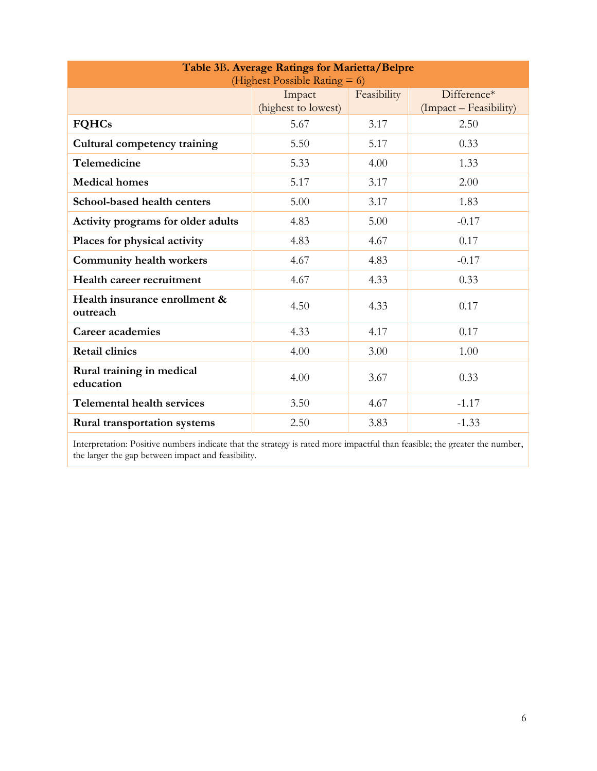| Table 3B. Average Ratings for Marietta/Belpre<br>(Highest Possible Rating $= 6$ )     |      |      |         |  |  |  |  |
|---------------------------------------------------------------------------------------|------|------|---------|--|--|--|--|
| Feasibility<br>Difference*<br>Impact<br>(highest to lowest)<br>(Impact – Feasibility) |      |      |         |  |  |  |  |
| <b>FQHCs</b>                                                                          | 5.67 | 3.17 | 2.50    |  |  |  |  |
| Cultural competency training                                                          | 5.50 | 5.17 | 0.33    |  |  |  |  |
| Telemedicine                                                                          | 5.33 | 4.00 | 1.33    |  |  |  |  |
| <b>Medical homes</b>                                                                  | 5.17 | 3.17 | 2.00    |  |  |  |  |
| School-based health centers                                                           | 5.00 | 3.17 | 1.83    |  |  |  |  |
| Activity programs for older adults                                                    | 4.83 | 5.00 | $-0.17$ |  |  |  |  |
| Places for physical activity                                                          | 4.83 | 4.67 | 0.17    |  |  |  |  |
| <b>Community health workers</b>                                                       | 4.67 | 4.83 | $-0.17$ |  |  |  |  |
| Health career recruitment                                                             | 4.67 | 4.33 | 0.33    |  |  |  |  |
| Health insurance enrollment &<br>outreach                                             | 4.50 | 4.33 | 0.17    |  |  |  |  |
| Career academies                                                                      | 4.33 | 4.17 | 0.17    |  |  |  |  |
| <b>Retail clinics</b>                                                                 | 4.00 | 3.00 | 1.00    |  |  |  |  |
| Rural training in medical<br>education                                                | 4.00 | 3.67 | 0.33    |  |  |  |  |
| <b>Telemental health services</b>                                                     | 3.50 | 4.67 | $-1.17$ |  |  |  |  |
| <b>Rural transportation systems</b>                                                   | 2.50 | 3.83 | $-1.33$ |  |  |  |  |

Interpretation: Positive numbers indicate that the strategy is rated more impactful than feasible; the greater the number, the larger the gap between impact and feasibility.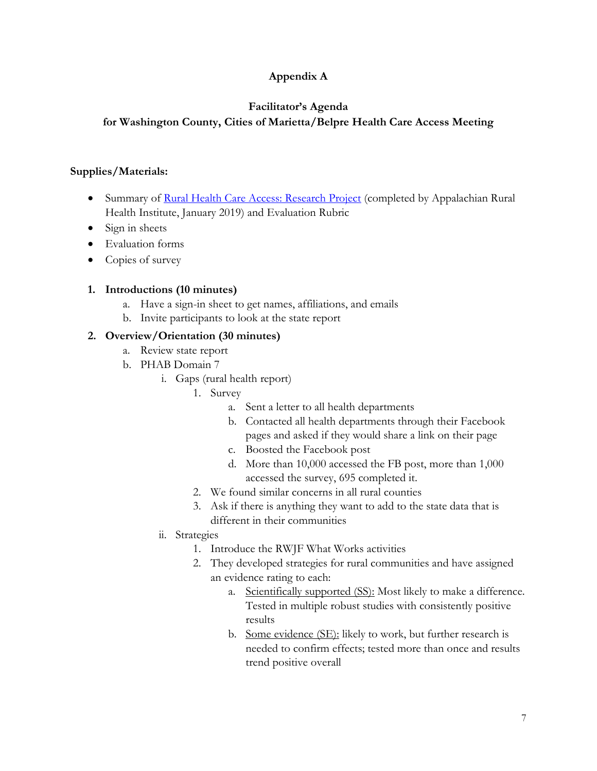## **Appendix A**

## **Facilitator's Agenda**

## **for Washington County, Cities of Marietta/Belpre Health Care Access Meeting**

#### **Supplies/Materials:**

- Summary of [Rural Health Care Access: Research Project](https://www.ohio.edu/chsp/appalachian-rural-health/projects) (completed by Appalachian Rural Health Institute, January 2019) and Evaluation Rubric
- Sign in sheets
- Evaluation forms
- Copies of survey

### **1. Introductions (10 minutes)**

- a. Have a sign-in sheet to get names, affiliations, and emails
- b. Invite participants to look at the state report

### **2. Overview/Orientation (30 minutes)**

- a. Review state report
- b. PHAB Domain 7
	- i. Gaps (rural health report)
		- 1. Survey
			- a. Sent a letter to all health departments
			- b. Contacted all health departments through their Facebook pages and asked if they would share a link on their page
			- c. Boosted the Facebook post
			- d. More than 10,000 accessed the FB post, more than 1,000 accessed the survey, 695 completed it.
		- 2. We found similar concerns in all rural counties
		- 3. Ask if there is anything they want to add to the state data that is different in their communities
	- ii. Strategies
		- 1. Introduce the RWJF What Works activities
		- 2. They developed strategies for rural communities and have assigned an evidence rating to each:
			- a. Scientifically supported (SS): Most likely to make a difference. Tested in multiple robust studies with consistently positive results
			- b. Some evidence (SE): likely to work, but further research is needed to confirm effects; tested more than once and results trend positive overall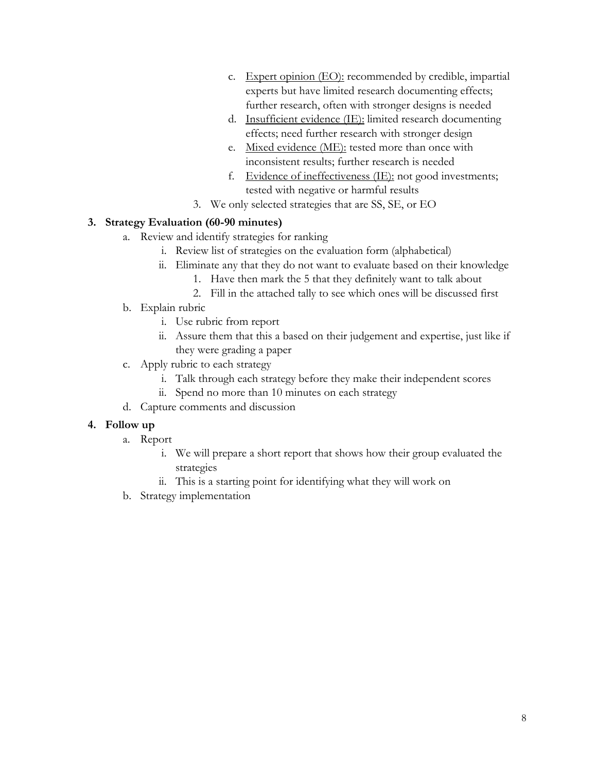- c. Expert opinion (EO): recommended by credible, impartial experts but have limited research documenting effects; further research, often with stronger designs is needed
- d. Insufficient evidence (IE): limited research documenting effects; need further research with stronger design
- e. Mixed evidence (ME): tested more than once with inconsistent results; further research is needed
- f. Evidence of ineffectiveness (IE): not good investments; tested with negative or harmful results
- 3. We only selected strategies that are SS, SE, or EO

#### **3. Strategy Evaluation (60-90 minutes)**

- a. Review and identify strategies for ranking
	- i. Review list of strategies on the evaluation form (alphabetical)
	- ii. Eliminate any that they do not want to evaluate based on their knowledge
		- 1. Have then mark the 5 that they definitely want to talk about
		- 2. Fill in the attached tally to see which ones will be discussed first
- b. Explain rubric
	- i. Use rubric from report
	- ii. Assure them that this a based on their judgement and expertise, just like if they were grading a paper
- c. Apply rubric to each strategy
	- i. Talk through each strategy before they make their independent scores
	- ii. Spend no more than 10 minutes on each strategy
- d. Capture comments and discussion

#### **4. Follow up**

- a. Report
	- i. We will prepare a short report that shows how their group evaluated the strategies
	- ii. This is a starting point for identifying what they will work on
- b. Strategy implementation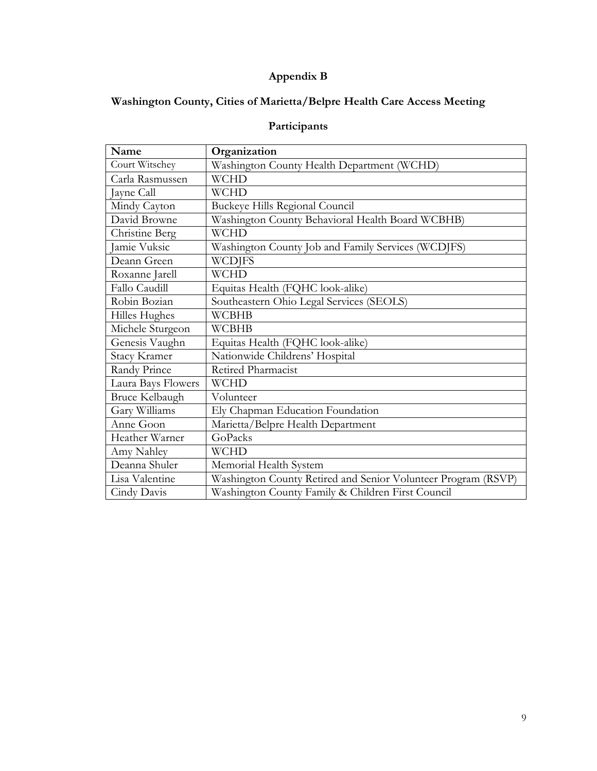# **Appendix B**

# **Washington County, Cities of Marietta/Belpre Health Care Access Meeting**

# **Participants**

| Name                  | Organization                                                  |
|-----------------------|---------------------------------------------------------------|
| Court Witschey        | Washington County Health Department (WCHD)                    |
| Carla Rasmussen       | <b>WCHD</b>                                                   |
| Jayne Call            | <b>WCHD</b>                                                   |
| Mindy Cayton          | Buckeye Hills Regional Council                                |
| David Browne          | Washington County Behavioral Health Board WCBHB)              |
| Christine Berg        | <b>WCHD</b>                                                   |
| Jamie Vuksic          | Washington County Job and Family Services (WCDJFS)            |
| Deann Green           | <b>WCDJFS</b>                                                 |
| Roxanne Jarell        | <b>WCHD</b>                                                   |
| Fallo Caudill         | Equitas Health (FQHC look-alike)                              |
| Robin Bozian          | Southeastern Ohio Legal Services (SEOLS)                      |
| Hilles Hughes         | <b>WCBHB</b>                                                  |
| Michele Sturgeon      | <b>WCBHB</b>                                                  |
| Genesis Vaughn        | Equitas Health (FQHC look-alike)                              |
| <b>Stacy Kramer</b>   | Nationwide Childrens' Hospital                                |
| Randy Prince          | Retired Pharmacist                                            |
| Laura Bays Flowers    | <b>WCHD</b>                                                   |
| <b>Bruce Kelbaugh</b> | Volunteer                                                     |
| Gary Williams         | Ely Chapman Education Foundation                              |
| Anne Goon             | Marietta/Belpre Health Department                             |
| Heather Warner        | GoPacks                                                       |
| Amy Nahley            | <b>WCHD</b>                                                   |
| Deanna Shuler         | Memorial Health System                                        |
| Lisa Valentine        | Washington County Retired and Senior Volunteer Program (RSVP) |
| Cindy Davis           | Washington County Family & Children First Council             |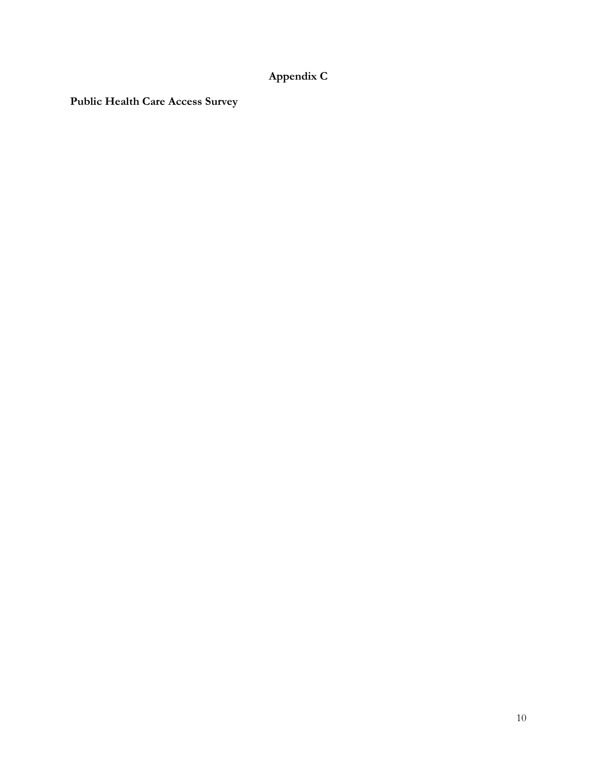# **Appendix C**

**Public Health Care Access Survey**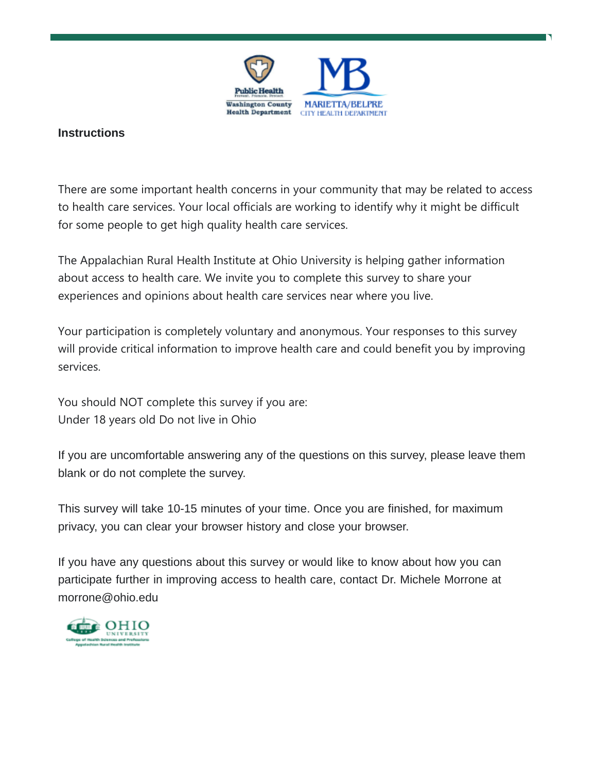

## **Instructions**

There are some important health concerns in your community that may be related to access to health care services. Your local officials are working to identify why it might be difficult for some people to get high quality health care services.

The Appalachian Rural Health Institute at Ohio University is helping gather information about access to health care. We invite you to complete this survey to share your experiences and opinions about health care services near where you live.

Your participation is completely voluntary and anonymous. Your responses to this survey will provide critical information to improve health care and could benefit you by improving services.

You should NOT complete this survey if you are: Under 18 years old Do not live in Ohio

If you are uncomfortable answering any of the questions on this survey, please leave them blank or do not complete the survey.

This survey will take 10-15 minutes of your time. Once you are finished, for maximum privacy, you can clear your browser history and close your browser.

If you have any questions about this survey or would like to know about how you can participate further in improving access to health care, contact Dr. Michele Morrone at [morrone@ohio.edu](mailto:morrone@ohio.edu)

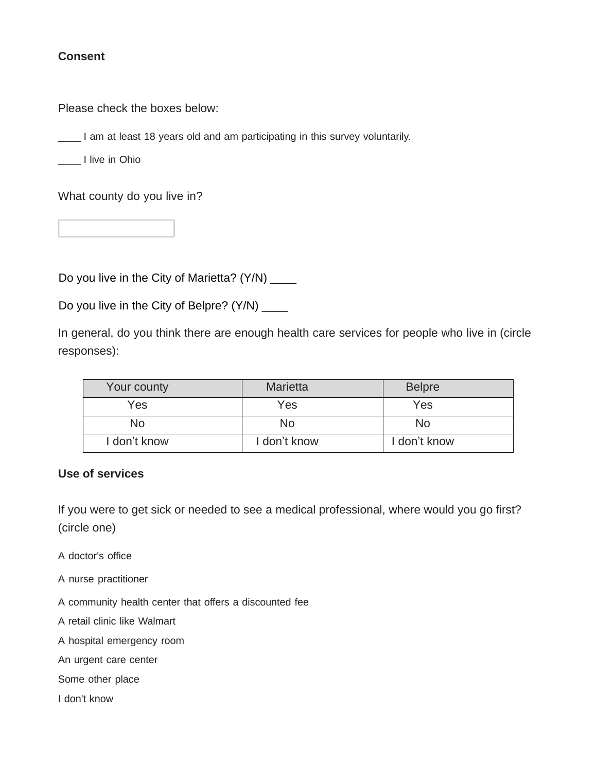## **Consent**

Please check the boxes below:

\_\_\_\_ I am at least 18 years old and am participating in this survey voluntarily.

\_\_\_\_ I live in Ohio

What county do you live in?

Do you live in the City of Marietta? (Y/N) \_\_\_\_

Do you live in the City of Belpre? (Y/N) \_\_\_\_\_

In general, do you think there are enough health care services for people who live in (circle responses):

| Your county  | <b>Marietta</b> | <b>Belpre</b> |
|--------------|-----------------|---------------|
| Yes          | Yes             | Yes           |
| No           | Nο              | No            |
| I don't know | I don't know    | l don't know  |

### **Use of services**

If you were to get sick or needed to see a medical professional, where would you go first? (circle one)

- A doctor's office
- A nurse practitioner
- A community health center that offers a discounted fee
- A retail clinic like Walmart
- A hospital emergency room
- An urgent care center
- Some other place
- I don't know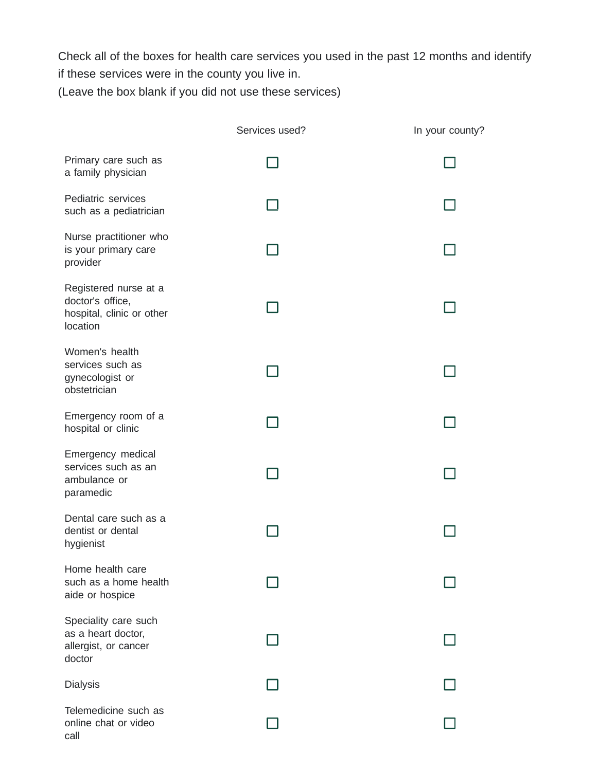Check all of the boxes for health care services you used in the past 12 months and identify if these services were in the county you live in. (Leave the box blank if you did not use these services)

|                                                                                    | Services used? | In your county? |
|------------------------------------------------------------------------------------|----------------|-----------------|
| Primary care such as<br>a family physician                                         |                |                 |
| Pediatric services<br>such as a pediatrician                                       |                |                 |
| Nurse practitioner who<br>is your primary care<br>provider                         |                |                 |
| Registered nurse at a<br>doctor's office,<br>hospital, clinic or other<br>location |                |                 |
| Women's health<br>services such as<br>gynecologist or<br>obstetrician              |                |                 |
| Emergency room of a<br>hospital or clinic                                          |                |                 |
| Emergency medical<br>services such as an<br>ambulance or<br>paramedic              |                |                 |
| Dental care such as a<br>dentist or dental<br>hygienist                            |                |                 |
| Home health care<br>such as a home health<br>aide or hospice                       |                |                 |
| Speciality care such<br>as a heart doctor,<br>allergist, or cancer<br>doctor       |                |                 |
| <b>Dialysis</b>                                                                    |                |                 |
| Telemedicine such as<br>online chat or video<br>call                               |                |                 |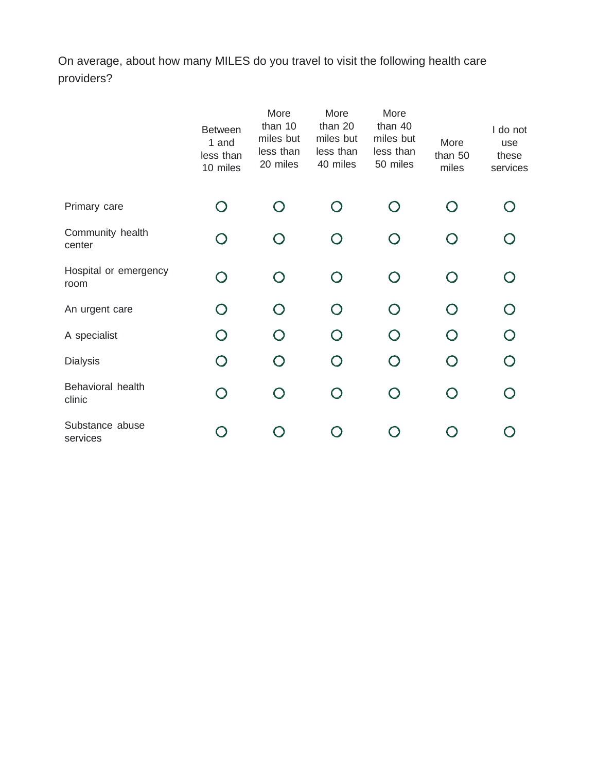On average, about how many MILES do you travel to visit the following health care providers?

|                               | <b>Between</b><br>1 and<br>less than<br>10 miles | More<br>than 10<br>miles but<br>less than<br>20 miles | More<br>than 20<br>miles but<br>less than<br>40 miles | More<br>than 40<br>miles but<br>less than<br>50 miles | More<br>than 50<br>miles | I do not<br>use<br>these<br>services |
|-------------------------------|--------------------------------------------------|-------------------------------------------------------|-------------------------------------------------------|-------------------------------------------------------|--------------------------|--------------------------------------|
| Primary care                  |                                                  |                                                       | $\left( \begin{array}{c} \end{array} \right)$         |                                                       |                          |                                      |
| Community health<br>center    |                                                  |                                                       |                                                       |                                                       |                          |                                      |
| Hospital or emergency<br>room |                                                  | ∩                                                     | $\cap$                                                | $\cap$                                                | $\cap$                   |                                      |
| An urgent care                |                                                  | $\bigcap$                                             | $\bigcap$                                             | $\bigcirc$                                            |                          |                                      |
| A specialist                  |                                                  | ∩                                                     | $\cap$                                                | $\bigcap$                                             |                          |                                      |
| <b>Dialysis</b>               |                                                  | $\bigcap$                                             | $\bigcap$                                             | $\bigcirc$                                            |                          |                                      |
| Behavioral health<br>clinic   |                                                  | $\bigcap$                                             | $\bigcap$                                             | $\bigcap$                                             |                          |                                      |
| Substance abuse<br>services   |                                                  |                                                       |                                                       |                                                       |                          |                                      |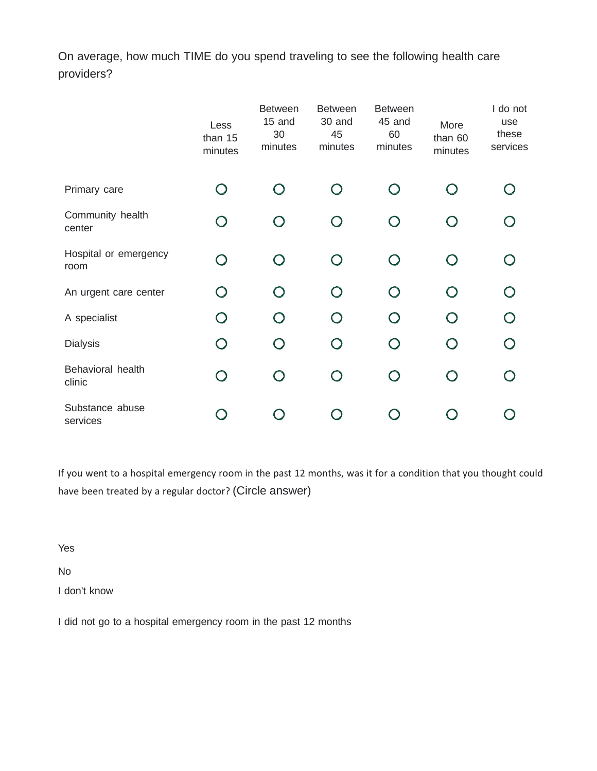On average, how much TIME do you spend traveling to see the following health care providers?

|                               | Less<br>than 15<br>minutes | <b>Between</b><br>15 and<br>30<br>minutes | <b>Between</b><br>30 and<br>45<br>minutes     | <b>Between</b><br>45 and<br>60<br>minutes | More<br>than 60<br>minutes | I do not<br>use<br>these<br>services |
|-------------------------------|----------------------------|-------------------------------------------|-----------------------------------------------|-------------------------------------------|----------------------------|--------------------------------------|
| Primary care                  |                            |                                           | $\left( \begin{array}{c} \end{array} \right)$ |                                           | $\bigcap$                  |                                      |
| Community health<br>center    |                            | $\bigcap$                                 | $\left( \begin{array}{c} \end{array} \right)$ | $\cap$                                    | $\bigcirc$                 |                                      |
| Hospital or emergency<br>room |                            | $\cap$                                    | $\bigcap$                                     | $\bigcap$                                 | O                          |                                      |
| An urgent care center         |                            |                                           | $\bigcap$                                     |                                           | $\bigcap$                  |                                      |
| A specialist                  |                            |                                           |                                               | ⌒                                         | $\bigcap$                  |                                      |
| <b>Dialysis</b>               |                            |                                           |                                               | $\bigcap$                                 | $\bigcap$                  |                                      |
| Behavioral health<br>clinic   |                            | $\bigcap$                                 | $\bigcap$                                     | $\bigcap$                                 | $\bigcirc$                 |                                      |
| Substance abuse<br>services   |                            |                                           |                                               |                                           |                            |                                      |

If you went to a hospital emergency room in the past 12 months, was it for a condition that you thought could have been treated by a regular doctor? (Circle answer)

Yes

No

I don't know

I did not go to a hospital emergency room in the past 12 months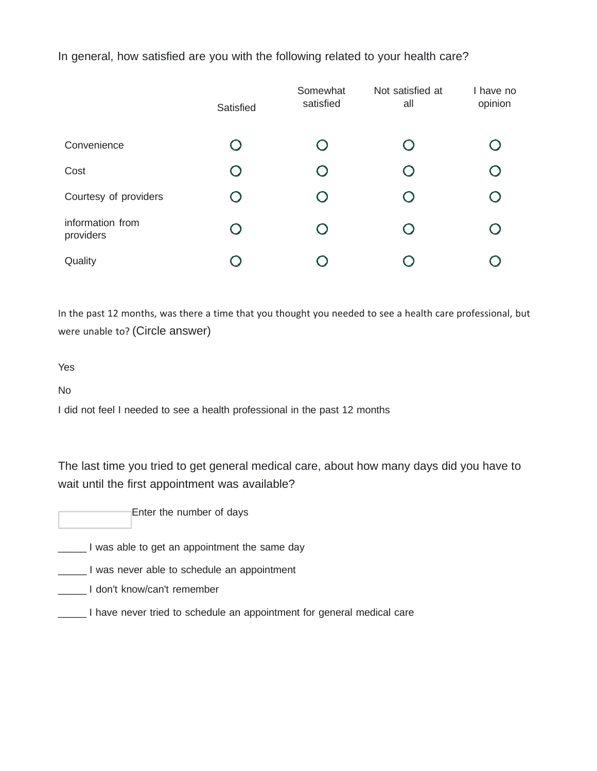In general, how satisfied are you with the following related to your health care?

|                               | Satisfied  | Somewhat<br>satisfied | Not satisfied at<br>all | I have no<br>opinion |
|-------------------------------|------------|-----------------------|-------------------------|----------------------|
| Convenience                   | $\Box$     | O                     | O                       |                      |
| Cost                          | $\bigodot$ |                       | $\bigcap$               |                      |
| Courtesy of providers         |            |                       |                         |                      |
| information from<br>providers | $\Box$     | O                     | $\bigcirc$              |                      |
| Quality                       |            |                       |                         |                      |

In the past 12 months, was there a time that you thought you needed to see a health care professional, but were unable to? (Circle answer)

Yes

No

I did not feel I needed to see a health professional in the past 12 months

The last time you tried to get general medical care, about how many days did you have to wait until the first appointment was available?

Enter the number of days

**The lange is a line of the same day** 

\_\_\_\_\_ I was never able to schedule an appointment

\_\_\_\_\_ I don't know/can't remember

\_\_\_\_\_ I have never tried to schedule an appointment for general medical care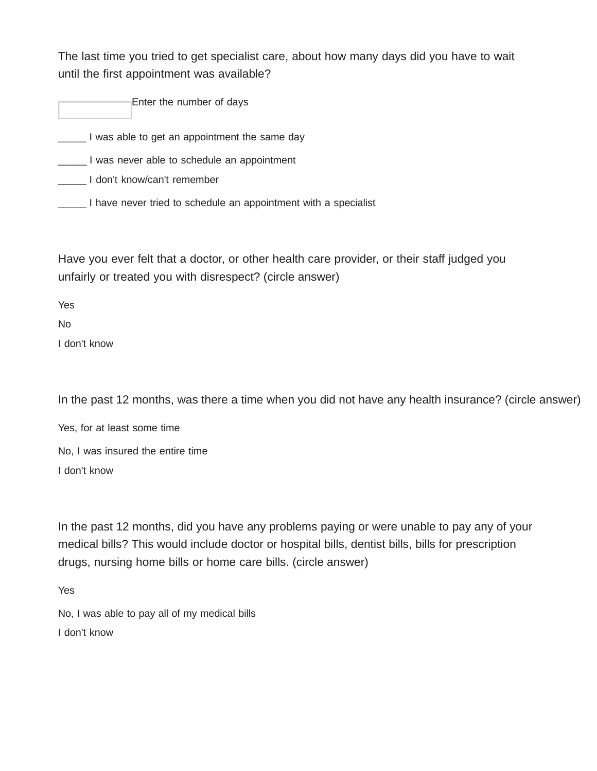The last time you tried to get specialist care, about how many days did you have to wait until the first appointment was available?

Enter the number of days

**was able to get an appointment the same day** 

\_\_\_\_\_ I was never able to schedule an appointment

\_\_\_\_\_ I don't know/can't remember

**\_\_\_\_\_** I have never tried to schedule an appointment with a specialist

Have you ever felt that a doctor, or other health care provider, or their staff judged you unfairly or treated you with disrespect? (circle answer)

Yes

No

I don't know

In the past 12 months, was there a time when you did not have any health insurance? (circle answer)

Yes, for at least some time No, I was insured the entire time I don't know

In the past 12 months, did you have any problems paying or were unable to pay any of your medical bills? This would include doctor or hospital bills, dentist bills, bills for prescription drugs, nursing home bills or home care bills. (circle answer)

Yes

No, I was able to pay all of my medical bills I don't know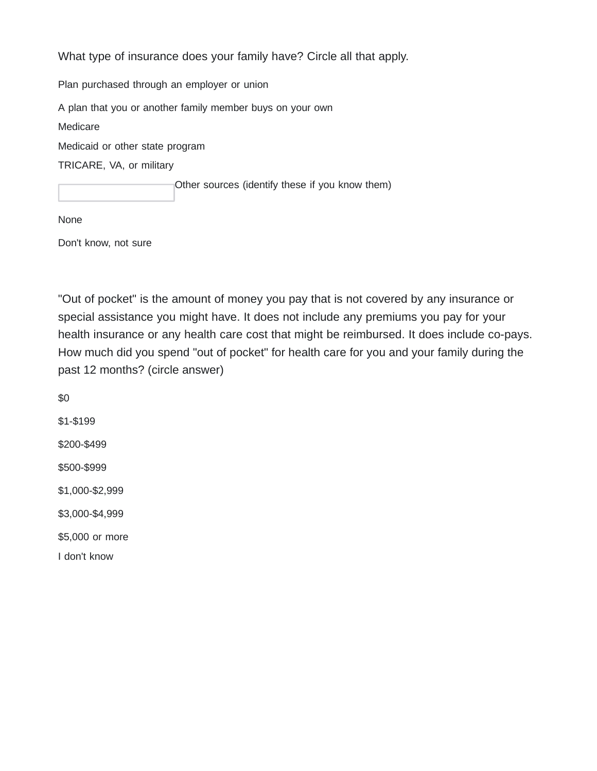What type of insurance does your family have? Circle all that apply. Plan purchased through an employer or union A plan that you or another family member buys on your own Medicare Medicaid or other state program TRICARE, VA, or military Other sources (identify these if you know them)

None

Don't know, not sure

"Out of pocket" is the amount of money you pay that is not covered by any insurance or special assistance you might have. It does not include any premiums you pay for your health insurance or any health care cost that might be reimbursed. It does include co-pays. How much did you spend "out of pocket" for health care for you and your family during the past 12 months? (circle answer)

\$0 \$1-\$199 \$200-\$499 \$500-\$999 \$1,000-\$2,999 \$3,000-\$4,999 \$5,000 or more I don't know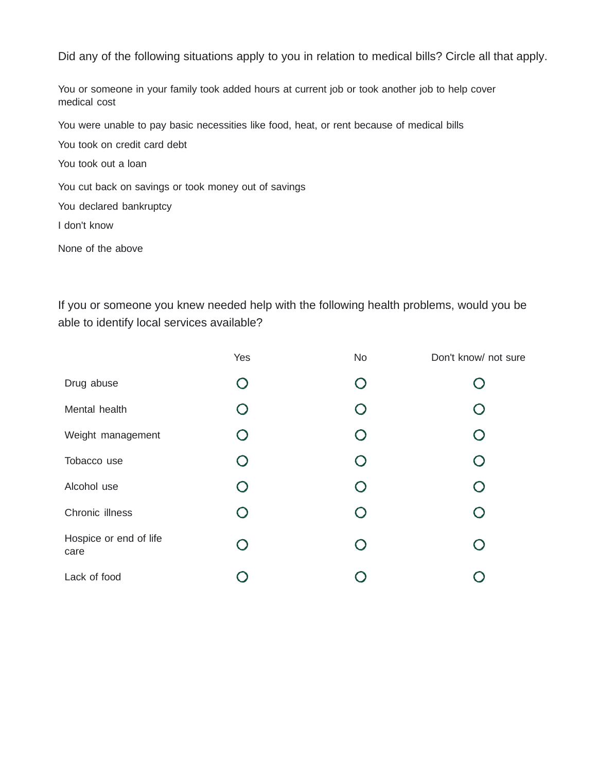Did any of the following situations apply to you in relation to medical bills? Circle all that apply.

You or someone in your family took added hours at current job or took another job to help cover medical cost

You were unable to pay basic necessities like food, heat, or rent because of medical bills

You took on credit card debt

You took out a loan

You cut back on savings or took money out of savings

You declared bankruptcy

I don't know

None of the above

If you or someone you knew needed help with the following health problems, would you be able to identify local services available?

|                                | Yes                | No                                            | Don't know/ not sure |
|--------------------------------|--------------------|-----------------------------------------------|----------------------|
| Drug abuse                     | O                  | $\zeta$                                       |                      |
| Mental health                  |                    |                                               |                      |
| Weight management              |                    | $\left(\begin{array}{c} \end{array}\right)$   |                      |
| Tobacco use                    |                    | $\left(\begin{array}{c} 1 \end{array}\right)$ |                      |
| Alcohol use                    | $\bigcap$          |                                               | $\bigcap$            |
| Chronic illness                | $\left( \ \right)$ |                                               |                      |
| Hospice or end of life<br>care | $\bigcap$          |                                               |                      |
| Lack of food                   |                    |                                               |                      |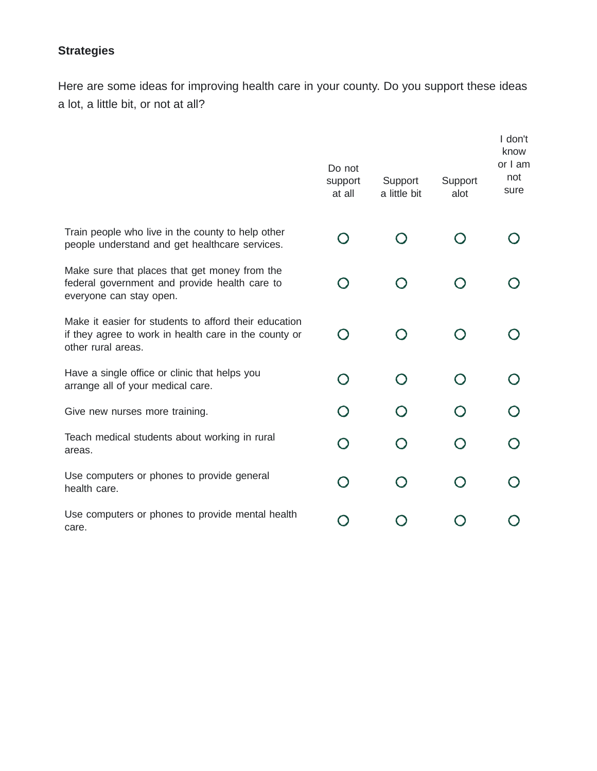# **Strategies**

Here are some ideas for improving health care in your county. Do you support these ideas a lot, a little bit, or not at all?

|                                                                                                                                      | Do not<br>support<br>at all | Support<br>a little bit                       | Support<br>alot | I don't<br>know<br>or I am<br>not<br>sure |
|--------------------------------------------------------------------------------------------------------------------------------------|-----------------------------|-----------------------------------------------|-----------------|-------------------------------------------|
| Train people who live in the county to help other                                                                                    |                             |                                               |                 |                                           |
| people understand and get healthcare services.                                                                                       |                             |                                               |                 |                                           |
| Make sure that places that get money from the<br>federal government and provide health care to<br>everyone can stay open.            |                             |                                               |                 |                                           |
| Make it easier for students to afford their education<br>if they agree to work in health care in the county or<br>other rural areas. |                             |                                               |                 |                                           |
| Have a single office or clinic that helps you<br>arrange all of your medical care.                                                   |                             | $\left( \begin{array}{c} \end{array} \right)$ |                 |                                           |
| Give new nurses more training.                                                                                                       |                             |                                               |                 |                                           |
| Teach medical students about working in rural<br>areas.                                                                              | $\bigcap$                   |                                               |                 |                                           |
| Use computers or phones to provide general<br>health care.                                                                           | $\bigcap$                   | $\left( \begin{array}{c} \end{array} \right)$ |                 |                                           |
| Use computers or phones to provide mental health<br>care.                                                                            |                             |                                               |                 |                                           |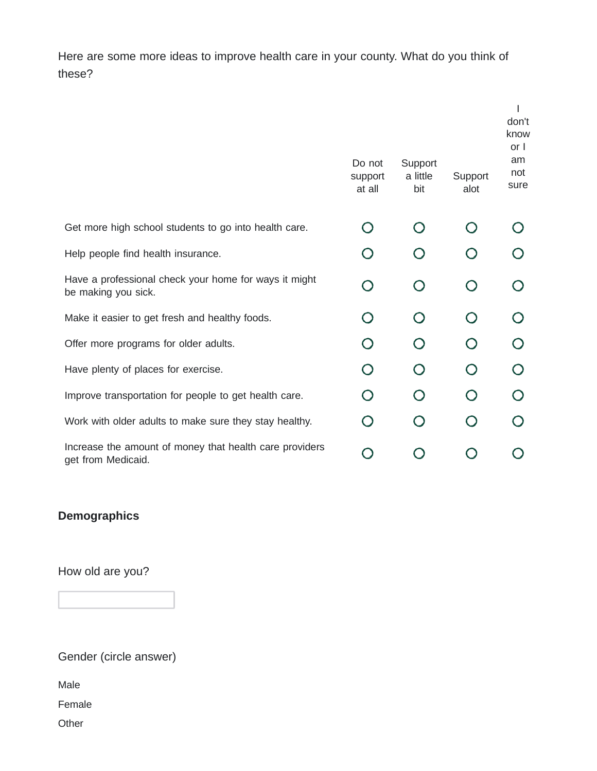Here are some more ideas to improve health care in your county. What do you think of these?

|                                                                               | Do not<br>support<br>at all | Support<br>a little<br>bit | Support<br>alot                               | don't<br>know<br>or I<br>am<br>not<br>sure |
|-------------------------------------------------------------------------------|-----------------------------|----------------------------|-----------------------------------------------|--------------------------------------------|
| Get more high school students to go into health care.                         |                             |                            |                                               |                                            |
| Help people find health insurance.                                            |                             |                            |                                               |                                            |
| Have a professional check your home for ways it might<br>be making you sick.  | ∩                           | $\bigcap$                  | $\left( \begin{array}{c} \end{array} \right)$ |                                            |
| Make it easier to get fresh and healthy foods.                                | ( )                         |                            |                                               |                                            |
| Offer more programs for older adults.                                         |                             |                            |                                               |                                            |
| Have plenty of places for exercise.                                           |                             |                            |                                               |                                            |
| Improve transportation for people to get health care.                         |                             |                            |                                               |                                            |
| Work with older adults to make sure they stay healthy.                        |                             |                            |                                               |                                            |
| Increase the amount of money that health care providers<br>get from Medicaid. |                             |                            |                                               |                                            |

# **Demographics**

How old are you?

Gender (circle answer)

Male

Female

**Other**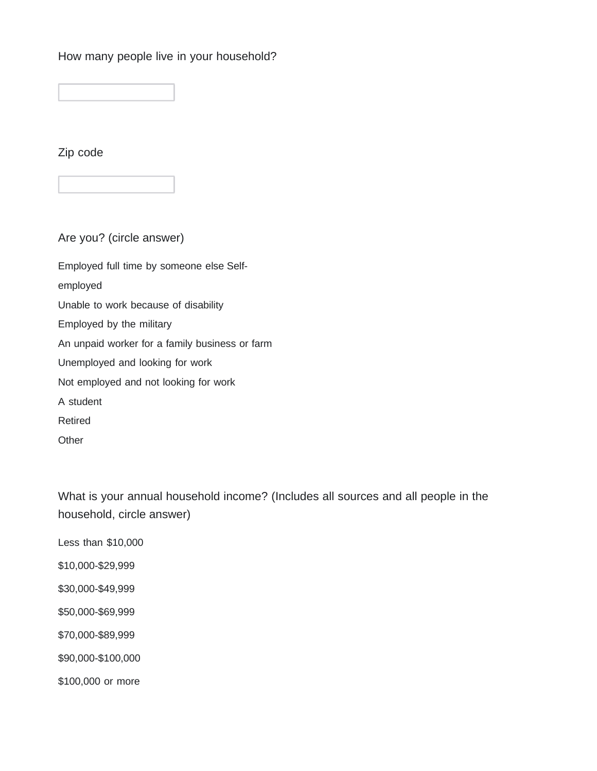How many people live in your household?

Zip code

Are you? (circle answer) Employed full time by someone else Selfemployed Unable to work because of disability Employed by the military An unpaid worker for a family business or farm Unemployed and looking for work Not employed and not looking for work A student Retired **Other** 

What is your annual household income? (Includes all sources and all people in the household, circle answer)

Less than \$10,000

\$10,000-\$29,999

\$30,000-\$49,999

\$50,000-\$69,999

\$70,000-\$89,999

\$90,000-\$100,000

\$100,000 or more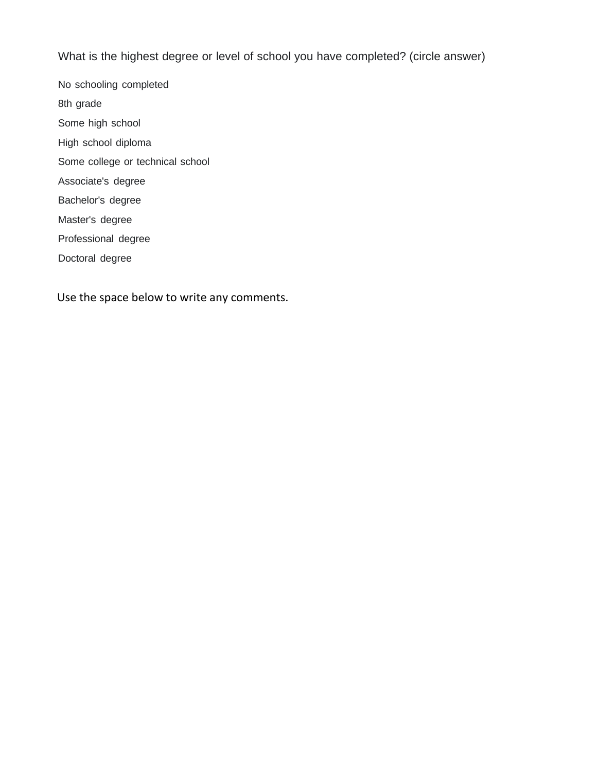What is the highest degree or level of school you have completed? (circle answer)

No schooling completed 8th grade Some high school High school diploma Some college or technical school Associate's degree Bachelor's degree Master's degree Professional degree Doctoral degree

Use the space below to write any comments.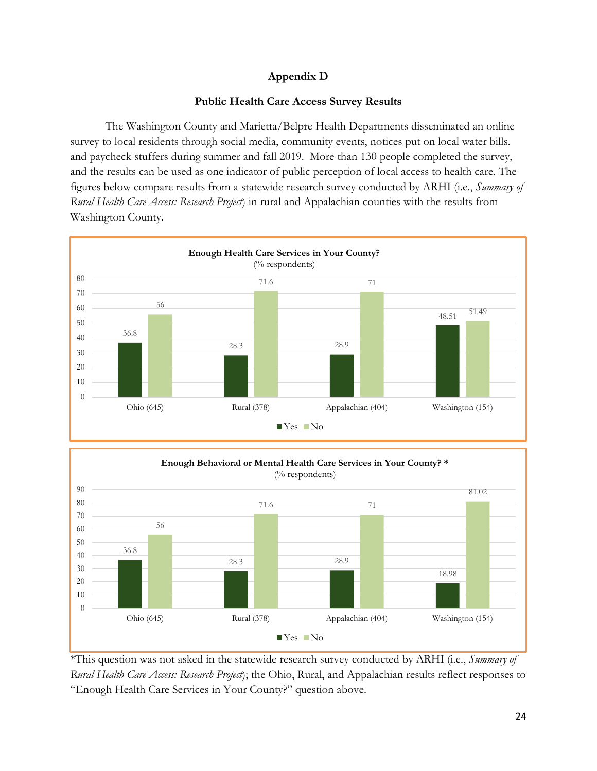#### **Appendix D**

#### **Public Health Care Access Survey Results**

The Washington County and Marietta/Belpre Health Departments disseminated an online survey to local residents through social media, community events, notices put on local water bills. and paycheck stuffers during summer and fall 2019. More than 130 people completed the survey, and the results can be used as one indicator of public perception of local access to health care. The figures below compare results from a statewide research survey conducted by ARHI (i.e., *Summary of Rural Health Care Access: Research Project*) in rural and Appalachian counties with the results from Washington County.





\*This question was not asked in the statewide research survey conducted by ARHI (i.e., *Summary of Rural Health Care Access: Research Project*); the Ohio, Rural, and Appalachian results reflect responses to "Enough Health Care Services in Your County?" question above.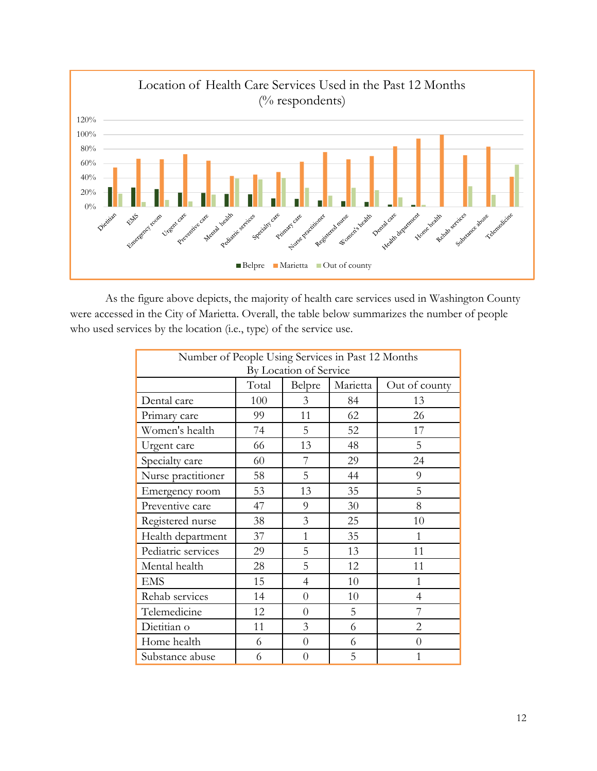

As the figure above depicts, the majority of health care services used in Washington County were accessed in the City of Marietta. Overall, the table below summarizes the number of people who used services by the location (i.e., type) of the service use.

| Number of People Using Services in Past 12 Months |       |                |          |                |  |  |  |  |
|---------------------------------------------------|-------|----------------|----------|----------------|--|--|--|--|
| By Location of Service                            |       |                |          |                |  |  |  |  |
|                                                   | Total | Belpre         | Marietta | Out of county  |  |  |  |  |
| Dental care                                       | 100   | 3              | 84       | 13             |  |  |  |  |
| Primary care                                      | 99    | 11             | 62       | 26             |  |  |  |  |
| Women's health                                    | 74    | 5              | 52       | 17             |  |  |  |  |
| Urgent care                                       | 66    | 13             | 48       | 5              |  |  |  |  |
| Specialty care                                    | 60    | 7              | 29       | 24             |  |  |  |  |
| Nurse practitioner                                | 58    | 5              | 44       | 9              |  |  |  |  |
| Emergency room                                    | 53    | 13             | 35       | 5              |  |  |  |  |
| Preventive care                                   | 47    | 9              | 30       | 8              |  |  |  |  |
| Registered nurse                                  | 38    | 3              | 25       | 10             |  |  |  |  |
| Health department                                 | 37    | 1              | 35       | 1              |  |  |  |  |
| Pediatric services                                | 29    | 5              | 13       | 11             |  |  |  |  |
| Mental health                                     | 28    | 5              | 12       | 11             |  |  |  |  |
| <b>EMS</b>                                        | 15    | $\overline{4}$ | 10       | $\mathbf{1}$   |  |  |  |  |
| Rehab services                                    | 14    | $\theta$       | 10       | $\overline{4}$ |  |  |  |  |
| Telemedicine                                      | 12    | $\theta$       | 5        | 7              |  |  |  |  |
| Dietitian o                                       | 11    | 3              | 6        | $\overline{2}$ |  |  |  |  |
| Home health                                       | 6     | $\overline{0}$ | 6        | $\theta$       |  |  |  |  |
| Substance abuse                                   | 6     | $\overline{0}$ | 5        | 1              |  |  |  |  |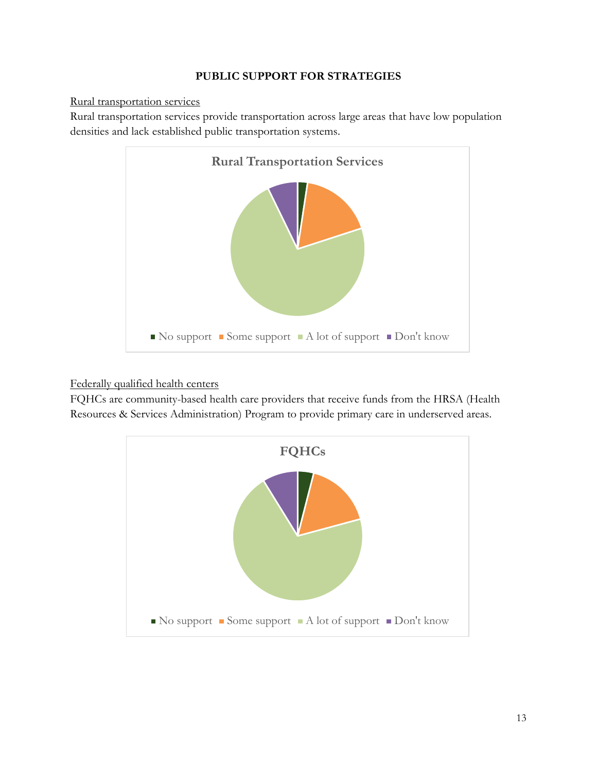#### **PUBLIC SUPPORT FOR STRATEGIES**

#### Rural transportation services

Rural transportation services provide transportation across large areas that have low population densities and lack established public transportation systems.



#### Federally qualified health centers

FQHCs are community-based health care providers that receive funds from the HRSA (Health Resources & Services Administration) Program to provide primary care in underserved areas.

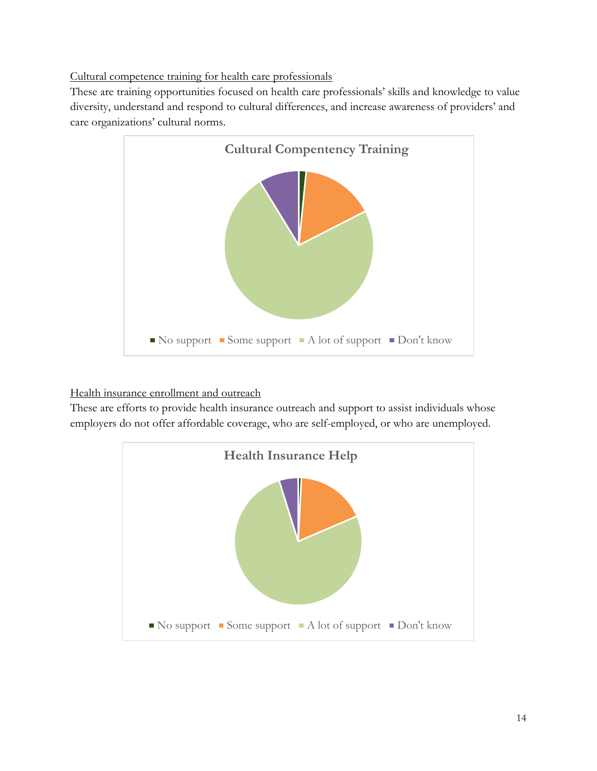#### Cultural competence training for health care professionals

These are training opportunities focused on health care professionals' skills and knowledge to value diversity, understand and respond to cultural differences, and increase awareness of providers' and care organizations' cultural norms.



### Health insurance enrollment and outreach

These are efforts to provide health insurance outreach and support to assist individuals whose employers do not offer affordable coverage, who are self-employed, or who are unemployed.

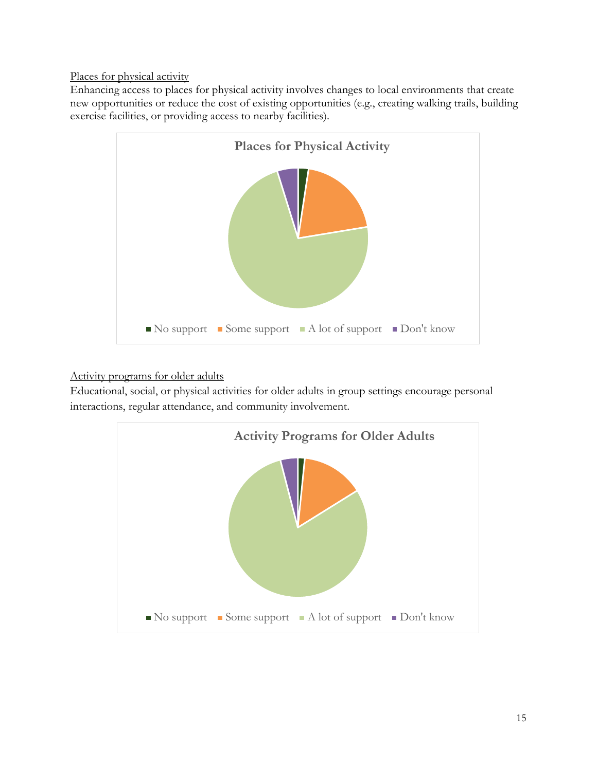Places for physical activity

Enhancing access to places for physical activity involves changes to local environments that create new opportunities or reduce the cost of existing opportunities (e.g., creating walking trails, building exercise facilities, or providing access to nearby facilities).



Activity programs for older adults

Educational, social, or physical activities for older adults in group settings encourage personal interactions, regular attendance, and community involvement.

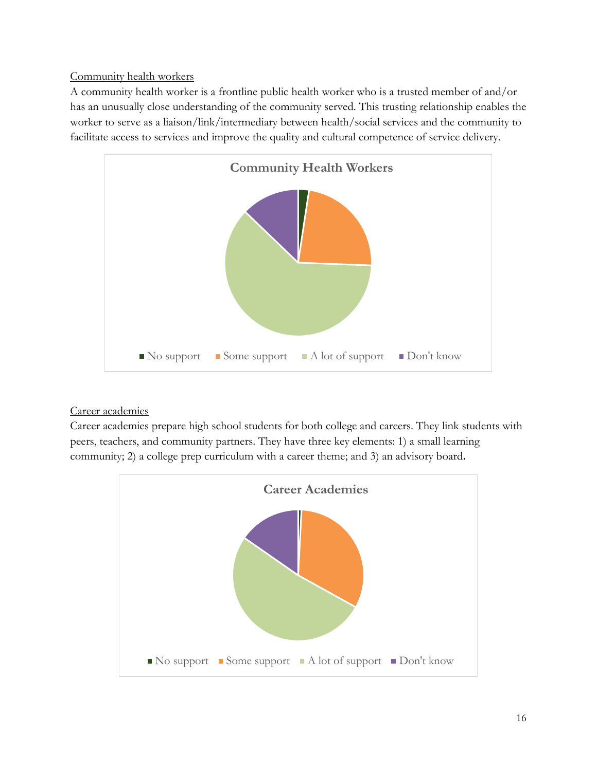#### Community health workers

A community health worker is a frontline public health worker who is a trusted member of and/or has an unusually close understanding of the community served. This trusting relationship enables the worker to serve as a liaison/link/intermediary between health/social services and the community to facilitate access to services and improve the quality and cultural competence of service delivery.



### Career academies

Career academies prepare high school students for both college and careers. They link students with peers, teachers, and community partners. They have three key elements: 1) a small learning community; 2) a college prep curriculum with a career theme; and 3) an advisory board**.**

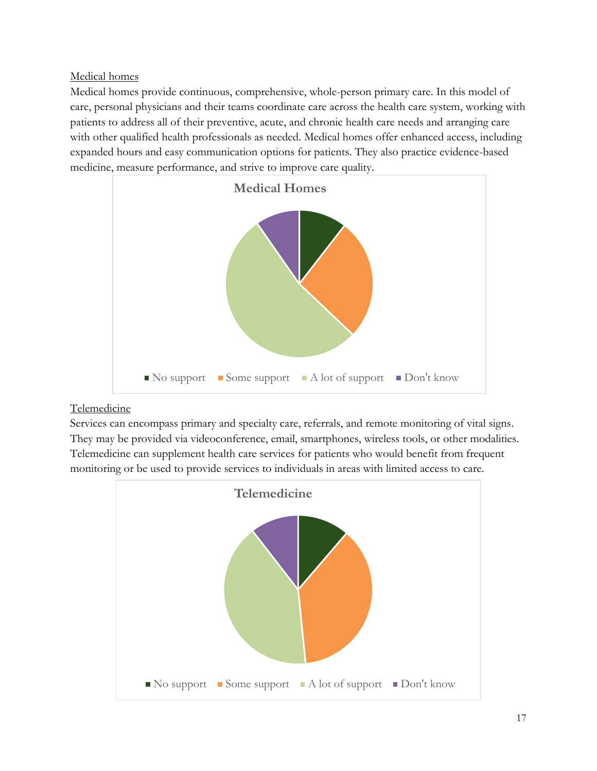Medical homes

Medical homes provide continuous, comprehensive, whole-person primary care. In this model of care, personal physicians and their teams coordinate care across the health care system, working with patients to address all of their preventive, acute, and chronic health care needs and arranging care with other qualified health professionals as needed. Medical homes offer enhanced access, including expanded hours and easy communication options for patients. They also practice evidence-based medicine, measure performance, and strive to improve care quality.



# Telemedicine

Services can encompass primary and specialty care, referrals, and remote monitoring of vital signs. They may be provided via videoconference, email, smartphones, wireless tools, or other modalities. Telemedicine can supplement health care services for patients who would benefit from frequent monitoring or be used to provide services to individuals in areas with limited access to care.

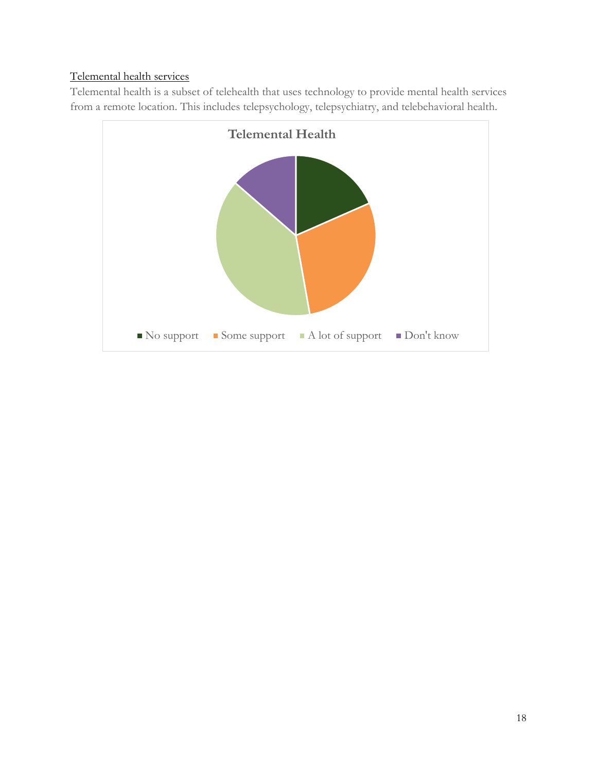# Telemental health services

Telemental health is a subset of telehealth that uses technology to provide mental health services from a remote location. This includes telepsychology, telepsychiatry, and telebehavioral health.